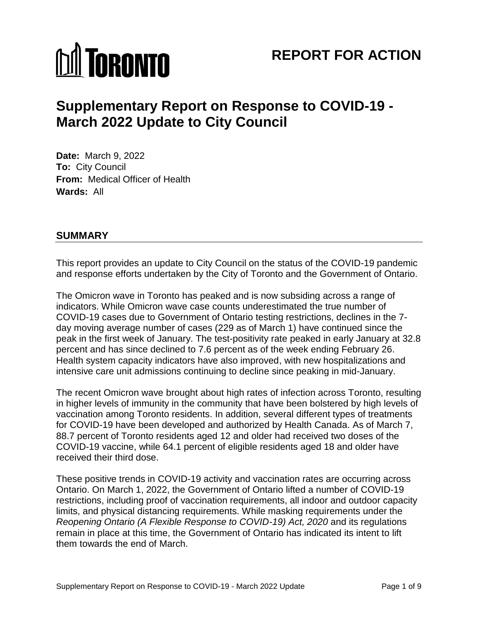# **M** TORONTO

## **REPORT FOR ACTION**

## **Supplementary Report on Response to COVID-19 - March 2022 Update to City Council**

 **Date:** March 9, 2022 **To:** City Council **From:** Medical Officer of Health **Wards:** All

### **SUMMARY**

 This report provides an update to City Council on the status of the COVID-19 pandemic and response efforts undertaken by the City of Toronto and the Government of Ontario.

 The Omicron wave in Toronto has peaked and is now subsiding across a range of COVID-19 cases due to Government of Ontario testing restrictions, declines in the 7- day moving average number of cases (229 as of March 1) have continued since the peak in the first week of January. The test-positivity rate peaked in early January at 32.8 percent and has since declined to 7.6 percent as of the week ending February 26. indicators. While Omicron wave case counts underestimated the true number of Health system capacity indicators have also improved, with new hospitalizations and intensive care unit admissions continuing to decline since peaking in mid-January.

 88.7 percent of Toronto residents aged 12 and older had received two doses of the COVID-19 vaccine, while 64.1 percent of eligible residents aged 18 and older have received their third dose. The recent Omicron wave brought about high rates of infection across Toronto, resulting in higher levels of immunity in the community that have been bolstered by high levels of vaccination among Toronto residents. In addition, several different types of treatments for COVID-19 have been developed and authorized by Health Canada. As of March 7,

 Ontario. On March 1, 2022, the Government of Ontario lifted a number of COVID-19 Reopening Ontario (A Flexible Response to COVID-19) Act, 2020 and its regulations remain in place at this time, the Government of Ontario has indicated its intent to lift them towards the end of March. These positive trends in COVID-19 activity and vaccination rates are occurring across restrictions, including proof of vaccination requirements, all indoor and outdoor capacity limits, and physical distancing requirements. While masking requirements under the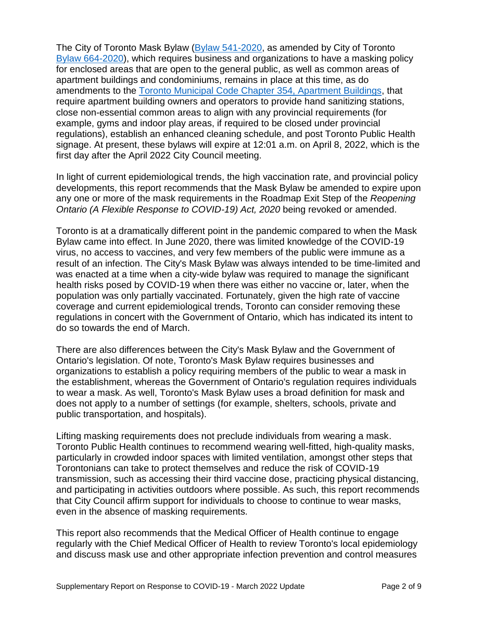The City of Toronto Mask Bylaw [\(Bylaw 541-2020,](https://www.toronto.ca/legdocs/bylaws/2020/law0541.pdf) as amended by City of Toronto [Bylaw 664-2020\)](https://www.toronto.ca/legdocs/bylaws/2020/law0664.pdf), which requires business and organizations to have a masking policy for enclosed areas that are open to the general public, as well as common areas of amendments to the [Toronto Municipal Code Chapter 354, Apartment Buildings,](https://www.toronto.ca/legdocs/municode/toronto-code-354.pdf) that require apartment building owners and operators to provide hand sanitizing stations, close non-essential common areas to align with any provincial requirements (for example, gyms and indoor play areas, if required to be closed under provincial regulations), establish an enhanced cleaning schedule, and post Toronto Public Health signage. At present, these bylaws will expire at 12:01 a.m. on April 8, 2022, which is the apartment buildings and condominiums, remains in place at this time, as do first day after the April 2022 City Council meeting.

 In light of current epidemiological trends, the high vaccination rate, and provincial policy any one or more of the mask requirements in the Roadmap Exit Step of the *Reopening Ontario (A Flexible Response to COVID-19) Act, 2020* being revoked or amended. developments, this report recommends that the Mask Bylaw be amended to expire upon

 result of an infection. The City's Mask Bylaw was always intended to be time-limited and was enacted at a time when a city-wide bylaw was required to manage the significant do so towards the end of March. Toronto is at a dramatically different point in the pandemic compared to when the Mask Bylaw came into effect. In June 2020, there was limited knowledge of the COVID-19 virus, no access to vaccines, and very few members of the public were immune as a health risks posed by COVID-19 when there was either no vaccine or, later, when the population was only partially vaccinated. Fortunately, given the high rate of vaccine coverage and current epidemiological trends, Toronto can consider removing these regulations in concert with the Government of Ontario, which has indicated its intent to

 There are also differences between the City's Mask Bylaw and the Government of organizations to establish a policy requiring members of the public to wear a mask in Ontario's legislation. Of note, Toronto's Mask Bylaw requires businesses and the establishment, whereas the Government of Ontario's regulation requires individuals to wear a mask. As well, Toronto's Mask Bylaw uses a broad definition for mask and does not apply to a number of settings (for example, shelters, schools, private and public transportation, and hospitals).

 particularly in crowded indoor spaces with limited ventilation, amongst other steps that Torontonians can take to protect themselves and reduce the risk of COVID-19 Lifting masking requirements does not preclude individuals from wearing a mask. Toronto Public Health continues to recommend wearing well-fitted, high-quality masks, transmission, such as accessing their third vaccine dose, practicing physical distancing, and participating in activities outdoors where possible. As such, this report recommends that City Council affirm support for individuals to choose to continue to wear masks, even in the absence of masking requirements.

 This report also recommends that the Medical Officer of Health continue to engage and discuss mask use and other appropriate infection prevention and control measures regularly with the Chief Medical Officer of Health to review Toronto's local epidemiology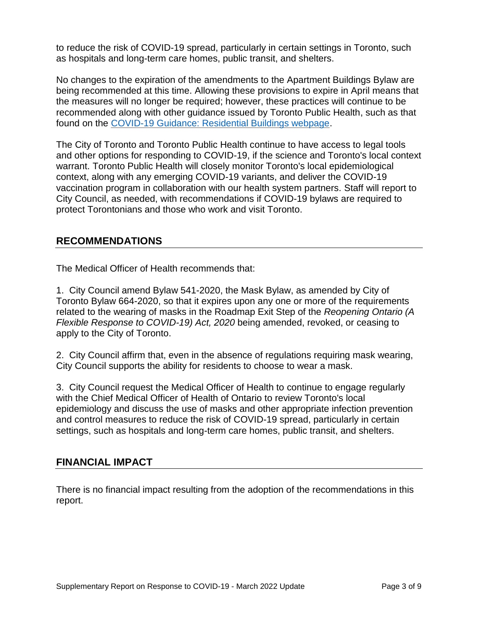to reduce the risk of COVID-19 spread, particularly in certain settings in Toronto, such as hospitals and long-term care homes, public transit, and shelters.

 No changes to the expiration of the amendments to the Apartment Buildings Bylaw are being recommended at this time. Allowing these provisions to expire in April means that the measures will no longer be required; however, these practices will continue to be found on the [COVID-19 Guidance: Residential Buildings webpage.](https://www.toronto.ca/home/covid-19/covid-19-reopening-recovery-rebuild/covid-19-reopening-guidelines-for-businesses-organizations/covid-19-guidance-residential-buildings/) recommended along with other guidance issued by Toronto Public Health, such as that

 The City of Toronto and Toronto Public Health continue to have access to legal tools and other options for responding to COVID-19, if the science and Toronto's local context warrant. Toronto Public Health will closely monitor Toronto's local epidemiological context, along with any emerging COVID-19 variants, and deliver the COVID-19 vaccination program in collaboration with our health system partners. Staff will report to City Council, as needed, with recommendations if COVID-19 bylaws are required to protect Torontonians and those who work and visit Toronto.

#### **RECOMMENDATIONS**

The Medical Officer of Health recommends that:

 1. City Council amend Bylaw 541-2020, the Mask Bylaw, as amended by City of Toronto Bylaw 664-2020, so that it expires upon any one or more of the requirements related to the wearing of masks in the Roadmap Exit Step of the *Reopening Ontario (A Flexible Response to COVID-19) Act, 2020* being amended, revoked, or ceasing to apply to the City of Toronto.

 2. City Council affirm that, even in the absence of regulations requiring mask wearing, City Council supports the ability for residents to choose to wear a mask.

 3. City Council request the Medical Officer of Health to continue to engage regularly with the Chief Medical Officer of Health of Ontario to review Toronto's local and control measures to reduce the risk of COVID-19 spread, particularly in certain epidemiology and discuss the use of masks and other appropriate infection prevention settings, such as hospitals and long-term care homes, public transit, and shelters.

#### **FINANCIAL IMPACT**

There is no financial impact resulting from the adoption of the recommendations in this report.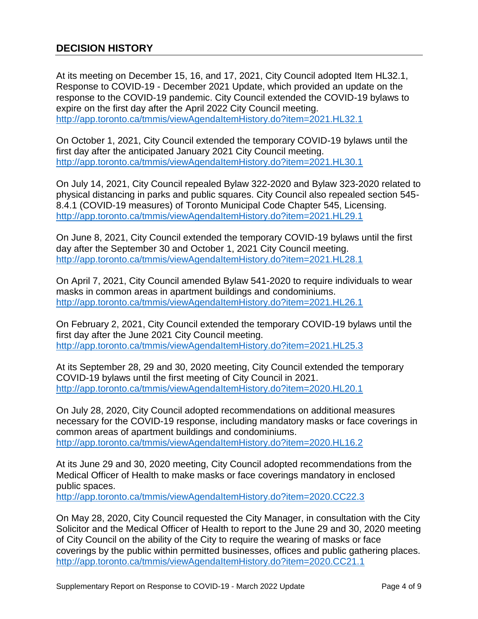Response to COVID-19 - December 2021 Update, which provided an update on the expire on the first day after the April 2022 City Council meeting. http://app.toronto.ca/tmmis/viewAgendaItemHistory.do?item=2021.HL32.1 At its meeting on December 15, 16, and 17, 2021, City Council adopted Item HL32.1, response to the COVID-19 pandemic. City Council extended the COVID-19 bylaws to

http://app.toronto.ca/tmmis/viewAgendaItemHistory.do?item=2021.HL30.1 On October 1, 2021, City Council extended the temporary COVID-19 bylaws until the first day after the anticipated January 2021 City Council meeting.

http://app.toronto.ca/tmmis/viewAgendaItemHistory.do?item=2021.HL29.1 On July 14, 2021, City Council repealed Bylaw 322-2020 and Bylaw 323-2020 related to physical distancing in parks and public squares. City Council also repealed section 545- 8.4.1 (COVID-19 measures) of Toronto Municipal Code Chapter 545, Licensing.

 day after the September 30 and October 1, 2021 City Council meeting. http://app.toronto.ca/tmmis/viewAgendaItemHistory.do?item=2021.HL28.1 On June 8, 2021, City Council extended the temporary COVID-19 bylaws until the first

On April 7, 2021, City Council amended Bylaw 541-2020 to require individuals to wear masks in common areas in apartment buildings and condominiums. <http://app.toronto.ca/tmmis/viewAgendaItemHistory.do?item=2021.HL26.1>

On February 2, 2021, City Council extended the temporary COVID-19 bylaws until the first day after the June 2021 City Council meeting. <http://app.toronto.ca/tmmis/viewAgendaItemHistory.do?item=2021.HL25.3>

At its September 28, 29 and 30, 2020 meeting, City Council extended the temporary COVID-19 bylaws until the first meeting of City Council in 2021. <http://app.toronto.ca/tmmis/viewAgendaItemHistory.do?item=2020.HL20.1>

http://app.toronto.ca/tmmis/viewAgendaItemHistory.do?item=2020.HL16.2 On July 28, 2020, City Council adopted recommendations on additional measures necessary for the COVID-19 response, including mandatory masks or face coverings in common areas of apartment buildings and condominiums.

 At its June 29 and 30, 2020 meeting, City Council adopted recommendations from the Medical Officer of Health to make masks or face coverings mandatory in enclosed public spaces.

http://app.toronto.ca/tmmis/viewAgendaItemHistory.do?item=2020.CC22.3

 Solicitor and the Medical Officer of Health to report to the June 29 and 30, 2020 meeting of City Council on the ability of the City to require the wearing of masks or face On May 28, 2020, City Council requested the City Manager, in consultation with the City coverings by the public within permitted businesses, offices and public gathering places. http://app.toronto.ca/tmmis/viewAgendaItemHistory.do?item=2020.CC21.1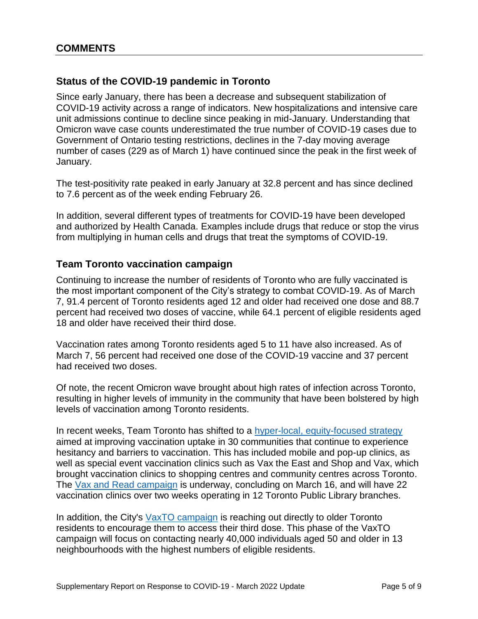#### **Status of the COVID-19 pandemic in Toronto**

Since early January, there has been a decrease and subsequent stabilization of COVID-19 activity across a range of indicators. New hospitalizations and intensive care unit admissions continue to decline since peaking in mid-January. Understanding that Omicron wave case counts underestimated the true number of COVID-19 cases due to Government of Ontario testing restrictions, declines in the 7-day moving average number of cases (229 as of March 1) have continued since the peak in the first week of January.

 The test-positivity rate peaked in early January at 32.8 percent and has since declined to 7.6 percent as of the week ending February 26.

In addition, several different types of treatments for COVID-19 have been developed and authorized by Health Canada. Examples include drugs that reduce or stop the virus from multiplying in human cells and drugs that treat the symptoms of COVID-19.

#### **Team Toronto vaccination campaign**

 Continuing to increase the number of residents of Toronto who are fully vaccinated is the most important component of the City's strategy to combat COVID-19. As of March 7, 91.4 percent of Toronto residents aged 12 and older had received one dose and 88.7 percent had received two doses of vaccine, while 64.1 percent of eligible residents aged 18 and older have received their third dose.

 March 7, 56 percent had received one dose of the COVID-19 vaccine and 37 percent Vaccination rates among Toronto residents aged 5 to 11 have also increased. As of had received two doses.

 resulting in higher levels of immunity in the community that have been bolstered by high levels of vaccination among Toronto residents. Of note, the recent Omicron wave brought about high rates of infection across Toronto,

In recent weeks, Team Toronto has shifted to a hyper-local, equity-focused strategy aimed at improving vaccination uptake in 30 communities that continue to experience hesitancy and barriers to vaccination. This has included mobile and pop-up clinics, as well as special event vaccination clinics such as Vax the East and Shop and Vax, which brought vaccination clinics to shopping centres and community centres across Toronto. The [Vax and Read campaign](https://www.toronto.ca/news/team-toronto-launches-vax-and-read-to-bring-covid-19-vaccine-clinics-to-toronto-public-library-branches/) is underway, concluding on March 16, and will have 22 vaccination clinics over two weeks operating in 12 Toronto Public Library branches.

 campaign will focus on contacting nearly 40,000 individuals aged 50 and older in 13 neighbourhoods with the highest numbers of eligible residents.<br>Supplementary Report on Response to COVID-19 - March 2022 Update Page 5 of 9 In addition, the City's [VaxTO campaign](https://www.toronto.ca/news/city-of-torontos-vaxto-campaign-reaching-out-to-residents-to-encourage-them-to-get-their-third-covid-19-vaccine-dose/) is reaching out directly to older Toronto residents to encourage them to access their third dose. This phase of the VaxTO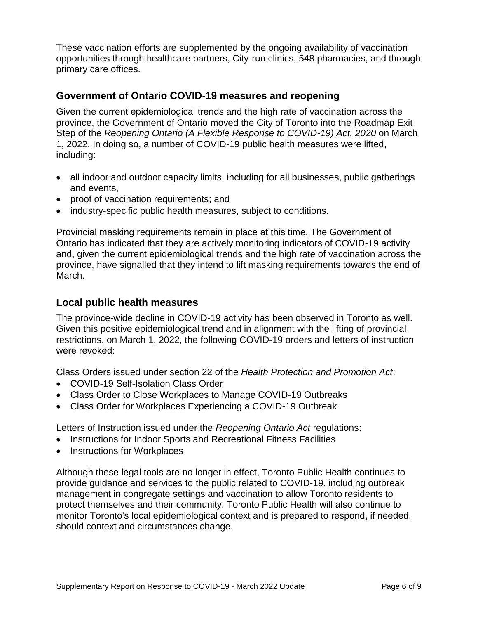These vaccination efforts are supplemented by the ongoing availability of vaccination opportunities through healthcare partners, City-run clinics, 548 pharmacies, and through primary care offices.

#### **Government of Ontario COVID-19 measures and reopening**

 Given the current epidemiological trends and the high rate of vaccination across the province, the Government of Ontario moved the City of Toronto into the Roadmap Exit Step of the *Reopening Ontario (A Flexible Response to COVID-19) Act, 2020* on March 1, 2022. In doing so, a number of COVID-19 public health measures were lifted, including:

- and events, • all indoor and outdoor capacity limits, including for all businesses, public gatherings
- proof of vaccination requirements; and
- industry-specific public health measures, subject to conditions.

Provincial masking requirements remain in place at this time. The Government of Ontario has indicated that they are actively monitoring indicators of COVID-19 activity and, given the current epidemiological trends and the high rate of vaccination across the province, have signalled that they intend to lift masking requirements towards the end of March.

#### **Local public health measures**

 The province-wide decline in COVID-19 activity has been observed in Toronto as well. restrictions, on March 1, 2022, the following COVID-19 orders and letters of instruction Given this positive epidemiological trend and in alignment with the lifting of provincial were revoked:

Class Orders issued under section 22 of the *Health Protection and Promotion Act*:

- COVID-19 Self-Isolation Class Order
- Class Order to Close Workplaces to Manage COVID-19 Outbreaks
- Class Order for Workplaces Experiencing a COVID-19 Outbreak

Letters of Instruction issued under the *Reopening Ontario Act* regulations:

- Instructions for Indoor Sports and Recreational Fitness Facilities
- Instructions for Workplaces

 Although these legal tools are no longer in effect, Toronto Public Health continues to provide guidance and services to the public related to COVID-19, including outbreak management in congregate settings and vaccination to allow Toronto residents to protect themselves and their community. Toronto Public Health will also continue to monitor Toronto's local epidemiological context and is prepared to respond, if needed, should context and circumstances change.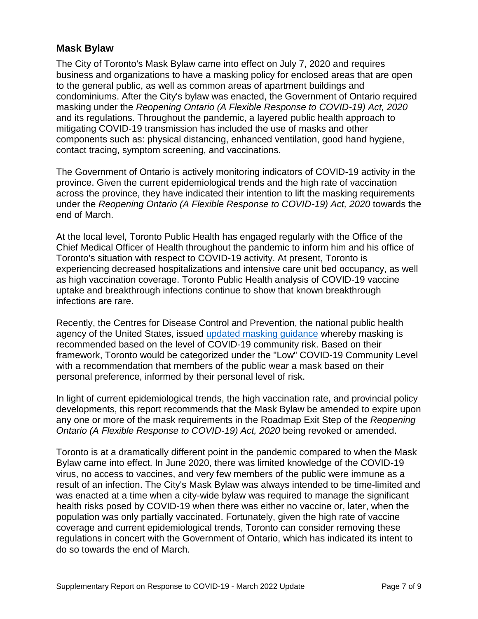### **Mask Bylaw**

 business and organizations to have a masking policy for enclosed areas that are open and its regulations. Throughout the pandemic, a layered public health approach to mitigating COVID-19 transmission has included the use of masks and other components such as: physical distancing, enhanced ventilation, good hand hygiene, The City of Toronto's Mask Bylaw came into effect on July 7, 2020 and requires to the general public, as well as common areas of apartment buildings and condominiums. After the City's bylaw was enacted, the Government of Ontario required masking under the *Reopening Ontario (A Flexible Response to COVID-19) Act, 2020*  contact tracing, symptom screening, and vaccinations.

 end of March. The Government of Ontario is actively monitoring indicators of COVID-19 activity in the province. Given the current epidemiological trends and the high rate of vaccination across the province, they have indicated their intention to lift the masking requirements under the *Reopening Ontario (A Flexible Response to COVID-19) Act, 2020* towards the

 At the local level, Toronto Public Health has engaged regularly with the Office of the Toronto's situation with respect to COVID-19 activity. At present, Toronto is experiencing decreased hospitalizations and intensive care unit bed occupancy, as well Chief Medical Officer of Health throughout the pandemic to inform him and his office of as high vaccination coverage. Toronto Public Health analysis of COVID-19 vaccine uptake and breakthrough infections continue to show that known breakthrough infections are rare.

 Recently, the Centres for Disease Control and Prevention, the national public health agency of the United States, issued [updated masking guidance](https://www.cdc.gov/coronavirus/2019-ncov/prevent-getting-sick/about-face-coverings.html) whereby masking is framework, Toronto would be categorized under the "Low" COVID-19 Community Level with a recommendation that members of the public wear a mask based on their personal preference, informed by their personal level of risk. recommended based on the level of COVID-19 community risk. Based on their

 any one or more of the mask requirements in the Roadmap Exit Step of the *Reopening Ontario (A Flexible Response to COVID-19) Act, 2020* being revoked or amended. In light of current epidemiological trends, the high vaccination rate, and provincial policy developments, this report recommends that the Mask Bylaw be amended to expire upon

 result of an infection. The City's Mask Bylaw was always intended to be time-limited and was enacted at a time when a city-wide bylaw was required to manage the significant regulations in concert with the Government of Ontario, which has indicated its intent to do so towards the end of March. Toronto is at a dramatically different point in the pandemic compared to when the Mask Bylaw came into effect. In June 2020, there was limited knowledge of the COVID-19 virus, no access to vaccines, and very few members of the public were immune as a health risks posed by COVID-19 when there was either no vaccine or, later, when the population was only partially vaccinated. Fortunately, given the high rate of vaccine coverage and current epidemiological trends, Toronto can consider removing these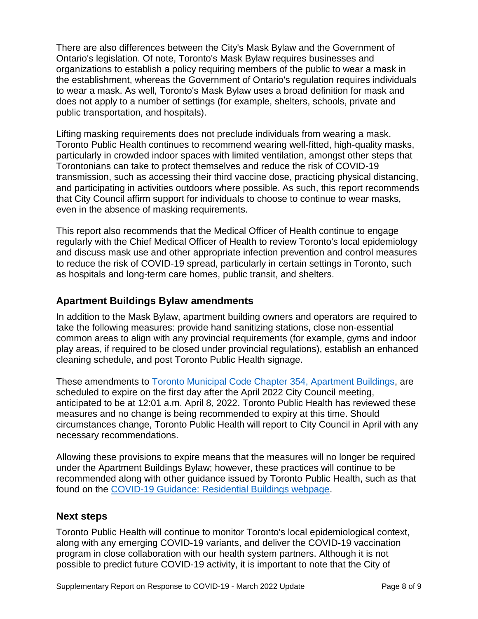organizations to establish a policy requiring members of the public to wear a mask in to wear a mask. As well, Toronto's Mask Bylaw uses a broad definition for mask and There are also differences between the City's Mask Bylaw and the Government of Ontario's legislation. Of note, Toronto's Mask Bylaw requires businesses and the establishment, whereas the Government of Ontario's regulation requires individuals does not apply to a number of settings (for example, shelters, schools, private and public transportation, and hospitals).

 Torontonians can take to protect themselves and reduce the risk of COVID-19 Lifting masking requirements does not preclude individuals from wearing a mask. Toronto Public Health continues to recommend wearing well-fitted, high-quality masks, particularly in crowded indoor spaces with limited ventilation, amongst other steps that transmission, such as accessing their third vaccine dose, practicing physical distancing, and participating in activities outdoors where possible. As such, this report recommends that City Council affirm support for individuals to choose to continue to wear masks, even in the absence of masking requirements.

 This report also recommends that the Medical Officer of Health continue to engage and discuss mask use and other appropriate infection prevention and control measures to reduce the risk of COVID-19 spread, particularly in certain settings in Toronto, such regularly with the Chief Medical Officer of Health to review Toronto's local epidemiology as hospitals and long-term care homes, public transit, and shelters.

### **Apartment Buildings Bylaw amendments**

 In addition to the Mask Bylaw, apartment building owners and operators are required to take the following measures: provide hand sanitizing stations, close non-essential common areas to align with any provincial requirements (for example, gyms and indoor play areas, if required to be closed under provincial regulations), establish an enhanced cleaning schedule, and post Toronto Public Health signage.

 scheduled to expire on the first day after the April 2022 City Council meeting, anticipated to be at 12:01 a.m. April 8, 2022. Toronto Public Health has reviewed these measures and no change is being recommended to expiry at this time. Should necessary recommendations. These amendments to [Toronto Municipal Code Chapter 354, Apartment Buildings,](https://www.toronto.ca/legdocs/municode/toronto-code-354.pdf) are circumstances change, Toronto Public Health will report to City Council in April with any

 recommended along with other guidance issued by Toronto Public Health, such as that found on the [COVID-19 Guidance: Residential Buildings webpage.](https://www.toronto.ca/home/covid-19/covid-19-reopening-recovery-rebuild/covid-19-reopening-guidelines-for-businesses-organizations/covid-19-guidance-residential-buildings/) Allowing these provisions to expire means that the measures will no longer be required under the Apartment Buildings Bylaw; however, these practices will continue to be

#### **Next steps**

 Toronto Public Health will continue to monitor Toronto's local epidemiological context, possible to predict future COVID-19 activity, it is important to note that the City of along with any emerging COVID-19 variants, and deliver the COVID-19 vaccination program in close collaboration with our health system partners. Although it is not